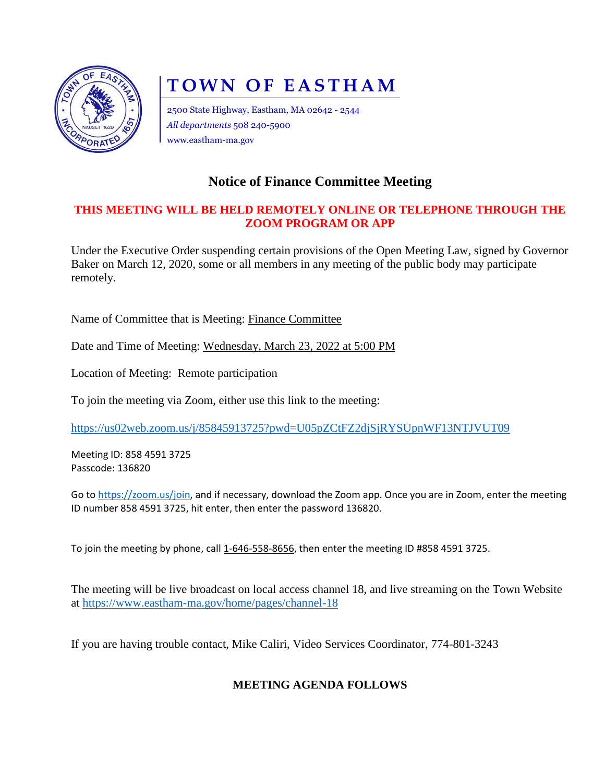

# **TOWN OF EASTHAM**

2500 State Highway, Eastham, MA 02642 - 2544 *All departments* 508 240-5900 www.eastham-ma.gov

## **Notice of Finance Committee Meeting**

#### **THIS MEETING WILL BE HELD REMOTELY ONLINE OR TELEPHONE THROUGH THE ZOOM PROGRAM OR APP**

Under the Executive Order suspending certain provisions of the Open Meeting Law, signed by Governor Baker on March 12, 2020, some or all members in any meeting of the public body may participate remotely.

Name of Committee that is Meeting: Finance Committee

Date and Time of Meeting: Wednesday, March 23, 2022 at 5:00 PM

Location of Meeting: Remote participation

To join the meeting via Zoom, either use this link to the meeting:

<https://us02web.zoom.us/j/85845913725?pwd=U05pZCtFZ2djSjRYSUpnWF13NTJVUT09>

Meeting ID: 858 4591 3725 Passcode: 136820

Go to [https://zoom.us/join,](https://zoom.us/join) and if necessary, download the Zoom app. Once you are in Zoom, enter the meeting ID number 858 4591 3725, hit enter, then enter the password 136820.

To join the meeting by phone, call 1-646-558-8656, then enter the meeting ID #858 4591 3725.

The meeting will be live broadcast on local access channel 18, and live streaming on the Town Website at<https://www.eastham-ma.gov/home/pages/channel-18>

If you are having trouble contact, Mike Caliri, Video Services Coordinator, 774-801-3243

### **MEETING AGENDA FOLLOWS**